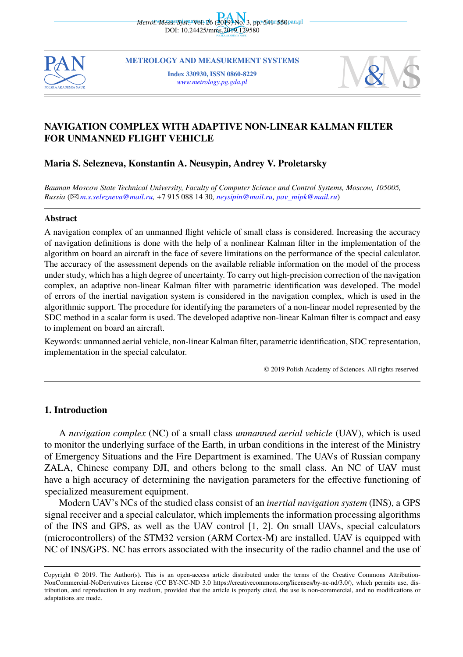

**METROLOGY AND MEASUREMENT SYSTEMS**

**Index 330930, ISSN 0860-8229** *[www.metrology.pg.gda.pl](http://www.metrology.pg.gda.pl/)*



# **NAVIGATION COMPLEX WITH ADAPTIVE NON-LINEAR KALMAN FILTER FOR UNMANNED FLIGHT VEHICLE**

# **Maria S. Selezneva, Konstantin A. Neusypin, Andrey V. Proletarsky**

*Bauman Moscow State Technical University, Faculty of Computer Science and Control Systems, Moscow, 105005, Russia* (B*[m.s.selezneva@mail.ru](mailto:m.s.selezneva@mail.ru),* +7 915 088 14 30*, [neysipin@mail.ru](mailto:neysipin@mail.ru), [pav\\_mipk@mail.ru](mailto:pav_mipk@mail.ru)*)

### **Abstract**

A navigation complex of an unmanned flight vehicle of small class is considered. Increasing the accuracy of navigation definitions is done with the help of a nonlinear Kalman filter in the implementation of the algorithm on board an aircraft in the face of severe limitations on the performance of the special calculator. The accuracy of the assessment depends on the available reliable information on the model of the process under study, which has a high degree of uncertainty. To carry out high-precision correction of the navigation complex, an adaptive non-linear Kalman filter with parametric identification was developed. The model of errors of the inertial navigation system is considered in the navigation complex, which is used in the algorithmic support. The procedure for identifying the parameters of a non-linear model represented by the SDC method in a scalar form is used. The developed adaptive non-linear Kalman filter is compact and easy to implement on board an aircraft.

Keywords: unmanned aerial vehicle, non-linear Kalman filter, parametric identification, SDC representation, implementation in the special calculator.

© 2019 Polish Academy of Sciences. All rights reserved

### **1. Introduction**

A *navigation complex* (NC) of a small class *unmanned aerial vehicle* (UAV), which is used to monitor the underlying surface of the Earth, in urban conditions in the interest of the Ministry of Emergency Situations and the Fire Department is examined. The UAVs of Russian company ZALA, Chinese company DJI, and others belong to the small class. An NC of UAV must have a high accuracy of determining the navigation parameters for the effective functioning of specialized measurement equipment.

Modern UAV's NCs of the studied class consist of an *inertial navigation system* (INS), a GPS signal receiver and a special calculator, which implements the information processing algorithms of the INS and GPS, as well as the UAV control [1, 2]. On small UAVs, special calculators (microcontrollers) of the STM32 version (ARM Cortex-M) are installed. UAV is equipped with NC of INS/GPS. NC has errors associated with the insecurity of the radio channel and the use of

Copyright © 2019. The Author(s). This is an open-access article distributed under the terms of the Creative Commons Attribution-NonCommercial-NoDerivatives License (CC BY-NC-ND 3.0 https://creativecommons.org/licenses/by-nc-nd/3.0/), which permits use, distribution, and reproduction in any medium, provided that the article is properly cited, the use is non-commercial, and no modifications or adaptations are made.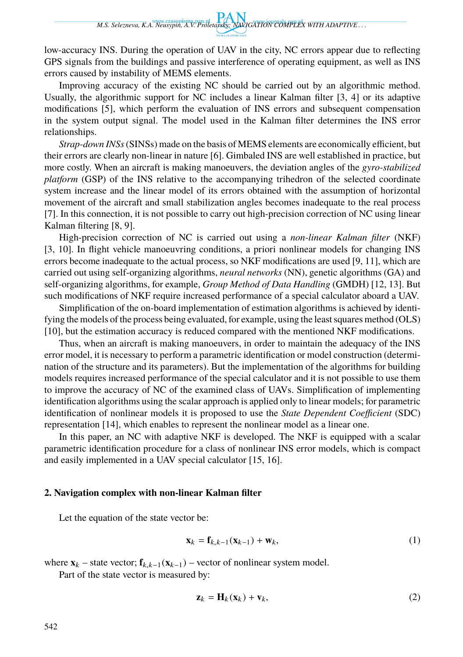*M.S. Selezneva, K.A. Neusypin, A.V. Proletarsky: NAVIGATION COMPLEX WITH ADAPTIVE . . .*

low-accuracy INS. During the operation of UAV in the city, NC errors appear due to reflecting GPS signals from the buildings and passive interference of operating equipment, as well as INS errors caused by instability of MEMS elements.

Improving accuracy of the existing NC should be carried out by an algorithmic method. Usually, the algorithmic support for NC includes a linear Kalman filter [3, 4] or its adaptive modifications [5], which perform the evaluation of INS errors and subsequent compensation in the system output signal. The model used in the Kalman filter determines the INS error relationships.

*Strap-down INSs*(SINSs) made on the basis of MEMS elements are economically efficient, but their errors are clearly non-linear in nature [6]. Gimbaled INS are well established in practice, but more costly. When an aircraft is making manoeuvers, the deviation angles of the *gyro-stabilized platform* (GSP) of the INS relative to the accompanying trihedron of the selected coordinate system increase and the linear model of its errors obtained with the assumption of horizontal movement of the aircraft and small stabilization angles becomes inadequate to the real process [7]. In this connection, it is not possible to carry out high-precision correction of NC using linear Kalman filtering [8, 9].

High-precision correction of NC is carried out using a *non-linear Kalman filter* (NKF) [3, 10]. In flight vehicle manoeuvring conditions, a priori nonlinear models for changing INS errors become inadequate to the actual process, so NKF modifications are used [9, 11], which are carried out using self-organizing algorithms, *neural networks* (NN), genetic algorithms (GA) and self-organizing algorithms, for example, *Group Method of Data Handling* (GMDH) [12, 13]. But such modifications of NKF require increased performance of a special calculator aboard a UAV.

Simplification of the on-board implementation of estimation algorithms is achieved by identifying the models of the process being evaluated, for example, using the least squares method (OLS) [10], but the estimation accuracy is reduced compared with the mentioned NKF modifications.

Thus, when an aircraft is making manoeuvers, in order to maintain the adequacy of the INS error model, it is necessary to perform a parametric identification or model construction (determination of the structure and its parameters). But the implementation of the algorithms for building models requires increased performance of the special calculator and it is not possible to use them to improve the accuracy of NC of the examined class of UAVs. Simplification of implementing identification algorithms using the scalar approach is applied only to linear models; for parametric identification of nonlinear models it is proposed to use the *State Dependent Coefficient* (SDC) representation [14], which enables to represent the nonlinear model as a linear one.

In this paper, an NC with adaptive NKF is developed. The NKF is equipped with a scalar parametric identification procedure for a class of nonlinear INS error models, which is compact and easily implemented in a UAV special calculator [15, 16].

## **2. Navigation complex with non-linear Kalman filter**

Let the equation of the state vector be:

$$
\mathbf{x}_k = \mathbf{f}_{k,k-1}(\mathbf{x}_{k-1}) + \mathbf{w}_k, \tag{1}
$$

where  $\mathbf{x}_k$  – state vector;  $\mathbf{f}_{k,k-1}(\mathbf{x}_{k-1})$  – vector of nonlinear system model.

Part of the state vector is measured by:

$$
\mathbf{z}_k = \mathbf{H}_k(\mathbf{x}_k) + \mathbf{v}_k,\tag{2}
$$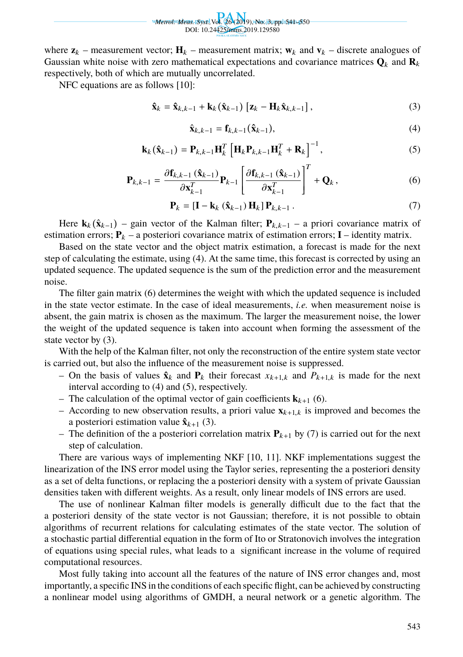Wetrol. Meas. Byst., Vol. 26 (2019), No. 3, pp. 541–550 DOI: 10.24425/mms.2019.129580

where  $\mathbf{z}_k$  – measurement vector;  $\mathbf{H}_k$  – measurement matrix;  $\mathbf{w}_k$  and  $\mathbf{v}_k$  – discrete analogues of Gaussian white noise with zero mathematical expectations and covariance matrices  $\mathbf{Q}_k$  and  $\mathbf{R}_k$ respectively, both of which are mutually uncorrelated.

NFC equations are as follows [10]:

$$
\hat{\mathbf{x}}_{k} = \hat{\mathbf{x}}_{k,k-1} + \mathbf{k}_{k} (\hat{\mathbf{x}}_{k-1}) [\mathbf{z}_{k} - \mathbf{H}_{k} \hat{\mathbf{x}}_{k,k-1}],
$$
\n(3)

$$
\hat{\mathbf{x}}_{k,k-1} = \mathbf{f}_{k,k-1}(\hat{\mathbf{x}}_{k-1}),
$$
\n(4)

$$
\mathbf{k}_{k}(\hat{\mathbf{x}}_{k-1}) = \mathbf{P}_{k,k-1} \mathbf{H}_{k}^{T} \left[ \mathbf{H}_{k} \mathbf{P}_{k,k-1} \mathbf{H}_{k}^{T} + \mathbf{R}_{k} \right]^{-1}, \qquad (5)
$$

$$
\mathbf{P}_{k,k-1} = \frac{\partial \mathbf{f}_{k,k-1}(\hat{\mathbf{x}}_{k-1})}{\partial \mathbf{x}_{k-1}^T} \mathbf{P}_{k-1} \left[ \frac{\partial \mathbf{f}_{k,k-1}(\hat{\mathbf{x}}_{k-1})}{\partial \mathbf{x}_{k-1}^T} \right]^T + \mathbf{Q}_k, \tag{6}
$$

$$
\mathbf{P}_k = \left[\mathbf{I} - \mathbf{k}_k \left(\hat{\mathbf{x}}_{k-1}\right) \mathbf{H}_k\right] \mathbf{P}_{k,k-1} \,. \tag{7}
$$

Here  $\mathbf{k}_k(\hat{\mathbf{x}}_{k-1})$  – gain vector of the Kalman filter;  $\mathbf{P}_{k,k-1}$  – a priori covariance matrix of estimation errors;  $P_k$  – a posteriori covariance matrix of estimation errors;  $I$  – identity matrix.

Based on the state vector and the object matrix estimation, a forecast is made for the next step of calculating the estimate, using (4). At the same time, this forecast is corrected by using an updated sequence. The updated sequence is the sum of the prediction error and the measurement noise.

The filter gain matrix (6) determines the weight with which the updated sequence is included in the state vector estimate. In the case of ideal measurements, *i.e.* when measurement noise is absent, the gain matrix is chosen as the maximum. The larger the measurement noise, the lower the weight of the updated sequence is taken into account when forming the assessment of the state vector by (3).

With the help of the Kalman filter, not only the reconstruction of the entire system state vector is carried out, but also the influence of the measurement noise is suppressed.

- On the basis of values  $\hat{\mathbf{x}}_k$  and  $\mathbf{P}_k$  their forecast  $x_{k+1,k}$  and  $P_{k+1,k}$  is made for the next interval according to (4) and (5), respectively.
- The calculation of the optimal vector of gain coefficients  $\mathbf{k}_{k+1}$  (6).
- According to new observation results, a priori value  $\mathbf{x}_{k+1,k}$  is improved and becomes the a posteriori estimation value  $\hat{\mathbf{x}}_{k+1}$  (3).
- The definition of the a posteriori correlation matrix  $P_{k+1}$  by (7) is carried out for the next step of calculation.

There are various ways of implementing NKF [10, 11]. NKF implementations suggest the linearization of the INS error model using the Taylor series, representing the a posteriori density as a set of delta functions, or replacing the a posteriori density with a system of private Gaussian densities taken with different weights. As a result, only linear models of INS errors are used.

The use of nonlinear Kalman filter models is generally difficult due to the fact that the a posteriori density of the state vector is not Gaussian; therefore, it is not possible to obtain algorithms of recurrent relations for calculating estimates of the state vector. The solution of a stochastic partial differential equation in the form of Ito or Stratonovich involves the integration of equations using special rules, what leads to a significant increase in the volume of required computational resources.

Most fully taking into account all the features of the nature of INS error changes and, most importantly, a specific INS in the conditions of each specific flight, can be achieved by constructing a nonlinear model using algorithms of GMDH, a neural network or a genetic algorithm. The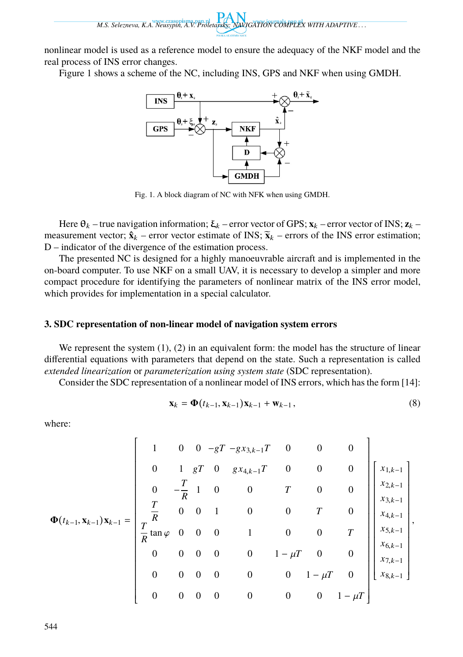*M.S. Selezneva, K.A. Neusypin, A.V. Proletarsky: NAVIGATION COMPLEX WITH ADAPTIVE . . .*

nonlinear model is used as a reference model to ensure the adequacy of the NKF model and the real process of INS error changes.

Figure 1 shows a scheme of the NC, including INS, GPS and NKF when using GMDH.



Fig. 1. A block diagram of NC with NFK when using GMDH.

Here  $\theta_k$  – true navigation information;  $\xi_k$  – error vector of GPS;  $\mathbf{x}_k$  – error vector of INS;  $\mathbf{z}_k$  – measurement vector;  $\hat{\mathbf{x}}_k$  – error vector estimate of INS;  $\tilde{\mathbf{x}}_k$  – errors of the INS error estimation; D – indicator of the divergence of the estimation process.

The presented NC is designed for a highly manoeuvrable aircraft and is implemented in the on-board computer. To use NKF on a small UAV, it is necessary to develop a simpler and more compact procedure for identifying the parameters of nonlinear matrix of the INS error model, which provides for implementation in a special calculator.

# **3. SDC representation of non-linear model of navigation system errors**

We represent the system  $(1)$ ,  $(2)$  in an equivalent form: the model has the structure of linear differential equations with parameters that depend on the state. Such a representation is called *extended linearization* or *parameterization using system state* (SDC representation).

Consider the SDC representation of a nonlinear model of INS errors, which has the form [14]:

$$
\mathbf{x}_{k} = \mathbf{\Phi}(t_{k-1}, \mathbf{x}_{k-1}) \mathbf{x}_{k-1} + \mathbf{w}_{k-1},
$$
\n(8)

where:

$$
\Phi(t_{k-1}, \mathbf{x}_{k-1})\mathbf{x}_{k-1} = \begin{bmatrix}\n1 & 0 & 0 & -gT - g x_{3,k-1}T & 0 & 0 & 0 \\
0 & 1 & gT & 0 & g x_{4,k-1}T & 0 & 0 & 0 \\
0 & -\frac{T}{R} & 1 & 0 & 0 & T & 0 \\
\frac{T}{R} & 0 & 0 & 1 & 0 & 0 & T & 0 \\
\frac{T}{R} \tan \varphi & 0 & 0 & 0 & 1 & 0 & 0 & T \\
0 & 0 & 0 & 0 & 1 & -\mu T & 0 & 0 \\
0 & 0 & 0 & 0 & 0 & 1 - \mu T & 0 & 0 \\
0 & 0 & 0 & 0 & 0 & 0 & 1 - \mu T & 0\n\end{bmatrix}\n\begin{bmatrix}\nx_{1,k-1} \\
x_{2,k-1} \\
x_{3,k-1} \\
x_{4,k-1} \\
x_{5,k-1} \\
x_{6,k-1} \\
x_{7,k-1} \\
x_{8,k-1}\n\end{bmatrix},
$$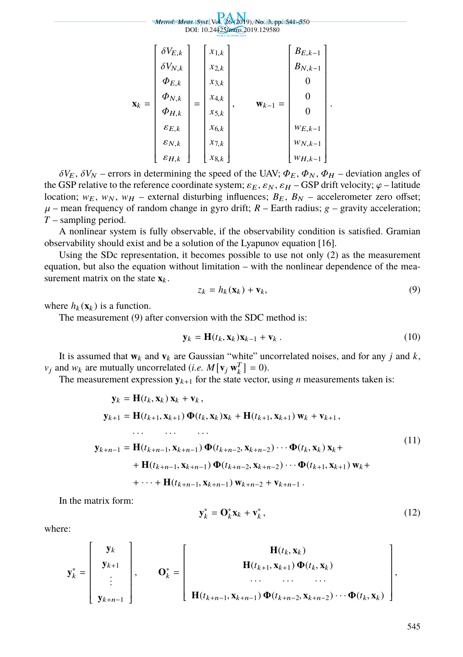#### *Metrol. Meas. Syst.,*Vol. 26 (2019), No. 3, pp. 541–550 DOI: 10.24425/mms.2019.129580  $\mathbf{x}_k =$   $\delta V_{E,k}$  $\delta V_{N,k}$  $\varPhi_{E,k}$  $\varPhi_{N,k}$  $\varPhi_{H,k}$  $\varepsilon_{E,k}$  $\varepsilon_{N,k}$  $\varepsilon_{H,k}$  = *x*1,<sup>k</sup> *x*2,<sup>k</sup> *x*3,<sup>k</sup> *x*4,<sup>k</sup> *x*5,<sup>k</sup> *x*6,<sup>k</sup> *x*7,<sup>k</sup> *x*8,<sup>k</sup> , **w**<sub>k−1</sub> =  $B_{E,k-1}$  $B_{N,k-1}$ 0 0  $\boldsymbol{0}$  $w_{E,k-1}$  $W_{N,k-1}$  $w_{H,k-1}$

 $\delta V_E$ ,  $\delta V_N$  – errors in determining the speed of the UAV;  $\Phi_E$ ,  $\Phi_N$ ,  $\Phi_H$  – deviation angles of the GSP relative to the reference coordinate system;  $\varepsilon_E$ ,  $\varepsilon_N$ ,  $\varepsilon_H$  – GSP drift velocity;  $\varphi$  – latitude location;  $w_E$ ,  $w_N$ ,  $w_H$  – external disturbing influences;  $B_E$ ,  $B_N$  – accelerometer zero offset;  $\mu$  – mean frequency of random change in gyro drift;  $R$  – Earth radius;  $g$  – gravity acceleration; *T* – sampling period.

A nonlinear system is fully observable, if the observability condition is satisfied. Gramian observability should exist and be a solution of the Lyapunov equation [16].

Using the SDc representation, it becomes possible to use not only (2) as the measurement equation, but also the equation without limitation – with the nonlinear dependence of the measurement matrix on the state  $\mathbf{x}_k$ .

$$
z_k = h_k(\mathbf{x}_k) + \mathbf{v}_k,\tag{9}
$$

.

where  $h_k(\mathbf{x}_k)$  is a function.

The measurement (9) after conversion with the SDC method is:

$$
\mathbf{y}_k = \mathbf{H}(t_k, \mathbf{x}_k) \mathbf{x}_{k-1} + \mathbf{v}_k .
$$
 (10)

It is assumed that  $w_k$  and  $v_k$  are Gaussian "white" uncorrelated noises, and for any *j* and *k*,  $v_j$  and  $w_k$  are mutually uncorrelated (*i.e.*  $M[v_j w_k^T] = 0$ ).

The measurement expression  $y_{k+1}$  for the state vector, using *n* measurements taken is:

$$
\mathbf{y}_{k} = \mathbf{H}(t_{k}, \mathbf{x}_{k}) \mathbf{x}_{k} + \mathbf{v}_{k},
$$
\n
$$
\mathbf{y}_{k+1} = \mathbf{H}(t_{k+1}, \mathbf{x}_{k+1}) \Phi(t_{k}, \mathbf{x}_{k}) \mathbf{x}_{k} + \mathbf{H}(t_{k+1}, \mathbf{x}_{k+1}) \mathbf{w}_{k} + \mathbf{v}_{k+1},
$$
\n
$$
\dots \qquad \dots \qquad \dots
$$
\n
$$
\mathbf{y}_{k+n-1} = \mathbf{H}(t_{k+n-1}, \mathbf{x}_{k+n-1}) \Phi(t_{k+n-2}, \mathbf{x}_{k+n-2}) \cdots \Phi(t_{k}, \mathbf{x}_{k}) \mathbf{x}_{k} +
$$
\n
$$
+ \mathbf{H}(t_{k+n-1}, \mathbf{x}_{k+n-1}) \Phi(t_{k+n-2}, \mathbf{x}_{k+n-2}) \cdots \Phi(t_{k+1}, \mathbf{x}_{k+1}) \mathbf{w}_{k} +
$$
\n
$$
+ \cdots + \mathbf{H}(t_{k+n-1}, \mathbf{x}_{k+n-1}) \mathbf{w}_{k+n-2} + \mathbf{v}_{k+n-1}.
$$
\n(11)

In the matrix form:

$$
\mathbf{y}_k^* = \mathbf{O}_k^* \mathbf{x}_k + \mathbf{v}_k^*,\tag{12}
$$

where:

$$
\mathbf{y}_{k}^{*} = \begin{bmatrix} \mathbf{y}_{k} \\ \mathbf{y}_{k+1} \\ \vdots \\ \mathbf{y}_{k+n-1} \end{bmatrix}, \quad \mathbf{O}_{k}^{*} = \begin{bmatrix} \mathbf{H}(t_{k}, \mathbf{x}_{k}) \\ \mathbf{H}(t_{k+1}, \mathbf{x}_{k+1}) \boldsymbol{\Phi}(t_{k}, \mathbf{x}_{k}) \\ \dots \\ \mathbf{H}(t_{k+n-1}, \mathbf{x}_{k+n-1}) \boldsymbol{\Phi}(t_{k+n-2}, \mathbf{x}_{k+n-2}) \cdots \boldsymbol{\Phi}(t_{k}, \mathbf{x}_{k}) \end{bmatrix},
$$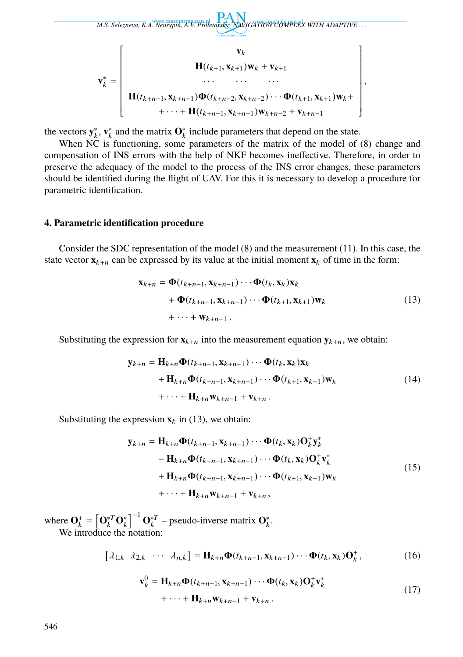*M.S. Selezneva, K.A. Neusypin, A.V. Proletarsky: NAVIGATION COMPLEX WITH ADAPTIVE . . .*  $\mathbf{v}_k^* =$  **v**k  $H(t_{k+1}, X_{k+1})W_k + V_{k+1}$ · · · · · · · · · **H**( $t_{k+n-1}$ , **x**<sub>k+n−1</sub>) $\Phi(t_{k+n-2}, \mathbf{x}_{k+n-2}) \cdots \Phi(t_{k+1}, \mathbf{x}_{k+1})\mathbf{w}_k +$ +  $\cdots$  + **H**( $t_{k+n-1}$ , **x**<sub>k+n−1</sub>)**w**<sub>k+n−2</sub> + **v**<sub>k+n−1</sub> ,

the vectors  $y_k^*, v_k^*$  and the matrix  $O_k^*$  include parameters that depend on the state.

When NC is functioning, some parameters of the matrix of the model of (8) change and compensation of INS errors with the help of NKF becomes ineffective. Therefore, in order to preserve the adequacy of the model to the process of the INS error changes, these parameters should be identified during the flight of UAV. For this it is necessary to develop a procedure for parametric identification.

### **4. Parametric identification procedure**

Consider the SDC representation of the model (8) and the measurement (11). In this case, the state vector  $\mathbf{x}_{k+n}$  can be expressed by its value at the initial moment  $\mathbf{x}_k$  of time in the form:

$$
\mathbf{x}_{k+n} = \mathbf{\Phi}(t_{k+n-1}, \mathbf{x}_{k+n-1}) \cdots \mathbf{\Phi}(t_k, \mathbf{x}_k) \mathbf{x}_k + \mathbf{\Phi}(t_{k+n-1}, \mathbf{x}_{k+n-1}) \cdots \mathbf{\Phi}(t_{k+1}, \mathbf{x}_{k+1}) \mathbf{w}_k + \cdots + \mathbf{w}_{k+n-1}.
$$
 (13)

Substituting the expression for  $\mathbf{x}_{k+n}$  into the measurement equation  $\mathbf{y}_{k+n}$ , we obtain:

$$
\mathbf{y}_{k+n} = \mathbf{H}_{k+n} \Phi(t_{k+n-1}, \mathbf{x}_{k+n-1}) \cdots \Phi(t_k, \mathbf{x}_k) \mathbf{x}_k \n+ \mathbf{H}_{k+n} \Phi(t_{k+n-1}, \mathbf{x}_{k+n-1}) \cdots \Phi(t_{k+1}, \mathbf{x}_{k+1}) \mathbf{w}_k \n+ \cdots + \mathbf{H}_{k+n} \mathbf{w}_{k+n-1} + \mathbf{v}_{k+n}.
$$
\n(14)

Substituting the expression  $\mathbf{x}_k$  in (13), we obtain:

$$
\mathbf{y}_{k+n} = \mathbf{H}_{k+n} \Phi(t_{k+n-1}, \mathbf{x}_{k+n-1}) \cdots \Phi(t_k, \mathbf{x}_k) \mathbf{O}_k^+ \mathbf{y}_k^*
$$
  
\n
$$
- \mathbf{H}_{k+n} \Phi(t_{k+n-1}, \mathbf{x}_{k+n-1}) \cdots \Phi(t_k, \mathbf{x}_k) \mathbf{O}_k^+ \mathbf{v}_k^*
$$
  
\n
$$
+ \mathbf{H}_{k+n} \Phi(t_{k+n-1}, \mathbf{x}_{k+n-1}) \cdots \Phi(t_{k+1}, \mathbf{x}_{k+1}) \mathbf{w}_k
$$
  
\n
$$
+ \cdots + \mathbf{H}_{k+n} \mathbf{w}_{k+n-1} + \mathbf{v}_{k+n},
$$
  
\n(15)

where  $\mathbf{O}_k^+ = \left[ \mathbf{O}_k^{*T} \mathbf{O}_k^* \right]$  $\int_0^{-1} \mathbf{O}_k^{*T}$  – pseudo-inverse matrix  $\mathbf{O}_k^*$ . We introduce the notation:

$$
[\lambda_{1,k} \lambda_{2,k} \cdots \lambda_{n,k}] = \mathbf{H}_{k+n} \Phi(t_{k+n-1}, \mathbf{x}_{k+n-1}) \cdots \Phi(t_k, \mathbf{x}_k) \mathbf{O}_k^+, \tag{16}
$$

$$
\mathbf{v}_k^0 = \mathbf{H}_{k+n} \mathbf{\Phi}(t_{k+n-1}, \mathbf{x}_{k+n-1}) \cdots \mathbf{\Phi}(t_k, \mathbf{x}_k) \mathbf{O}_k^+ \mathbf{v}_k^*
$$
  
+ \cdots +  $\mathbf{H}_{k+n} \mathbf{w}_{k+n-1} + \mathbf{v}_{k+n}$ . (17)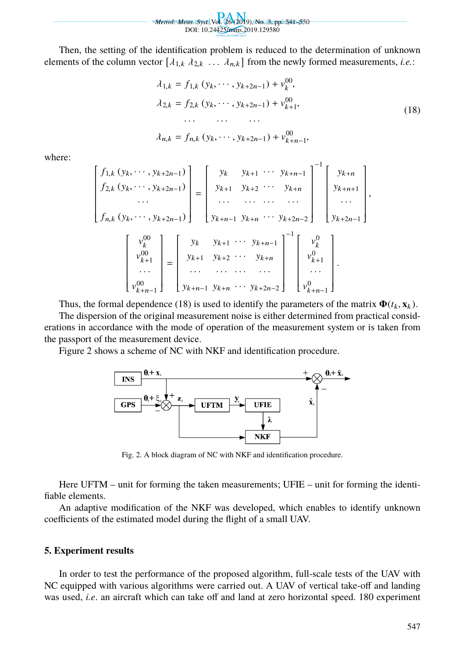*Metrol. Meas. Syst.,*Vol. 26 (2019), No. 3, pp. 541–550 DOI: 10.24425/mms.2019.129580

Then, the setting of the identification problem is reduced to the determination of unknown elements of the column vector  $[\lambda_{1,k} \lambda_{2,k} \ldots \lambda_{n,k}]$  from the newly formed measurements, *i.e.*:

$$
\lambda_{1,k} = f_{1,k} (y_k, \dots, y_{k+2n-1}) + v_k^{00},
$$
  
\n
$$
\lambda_{2,k} = f_{2,k} (y_k, \dots, y_{k+2n-1}) + v_{k+1}^{00},
$$
  
\n
$$
\dots \dots \dots
$$
  
\n
$$
\lambda_{n,k} = f_{n,k} (y_k, \dots, y_{k+2n-1}) + v_{k+n-1}^{00},
$$
  
\n(18)

where:

$$
\begin{bmatrix}\nf_{1,k} (y_k, \dots, y_{k+2n-1}) \\
f_{2,k} (y_k, \dots, y_{k+2n-1}) \\
\vdots \\
f_{n,k} (y_k, \dots, y_{k+2n-1})\n\end{bmatrix} =\n\begin{bmatrix}\ny_k & y_{k+1} & \cdots & y_{k+n-1} \\
y_{k+1} & y_{k+2} & \cdots & y_{k+n} \\
\vdots & \vdots & \ddots & \vdots \\
y_{k+n-1} & y_{k+n} & \cdots & y_{k+2n-2}\n\end{bmatrix}\n\begin{bmatrix}\ny_{k+n+1} \\
y_{k+n+1} \\
\vdots \\
y_{k+2n-1}\n\end{bmatrix},
$$
\n
$$
\begin{bmatrix}\nv_k^0 \\
v_{k+1}^0 \\
\vdots \\
v_{k+n-1}^0\n\end{bmatrix} =\n\begin{bmatrix}\ny_k & y_{k+1} & \cdots & y_{k+n-1} \\
y_{k+1} & y_{k+2} & \cdots & y_{k+n-1} \\
\vdots & \vdots & \ddots & \vdots \\
y_{k+n-1} & y_{k+n-1} & y_{k+n-1} & \cdots & y_{k+2n-2}\n\end{bmatrix}^{-1}\n\begin{bmatrix}\nv_k^0 \\
v_{k+1}^0 \\
\vdots \\
v_{k+n-1}^0\n\end{bmatrix}.
$$

Thus, the formal dependence (18) is used to identify the parameters of the matrix  $\Phi(t_k, \mathbf{x}_k)$ .

The dispersion of the original measurement noise is either determined from practical considerations in accordance with the mode of operation of the measurement system or is taken from the passport of the measurement device.

Figure 2 shows a scheme of NC with NKF and identification procedure.



Fig. 2. A block diagram of NC with NKF and identification procedure.

Here UFTM – unit for forming the taken measurements; UFIE – unit for forming the identifiable elements.

An adaptive modification of the NKF was developed, which enables to identify unknown coefficients of the estimated model during the flight of a small UAV.

### **5. Experiment results**

In order to test the performance of the proposed algorithm, full-scale tests of the UAV with NC equipped with various algorithms were carried out. A UAV of vertical take-off and landing was used, *i.e*. an aircraft which can take off and land at zero horizontal speed. 180 experiment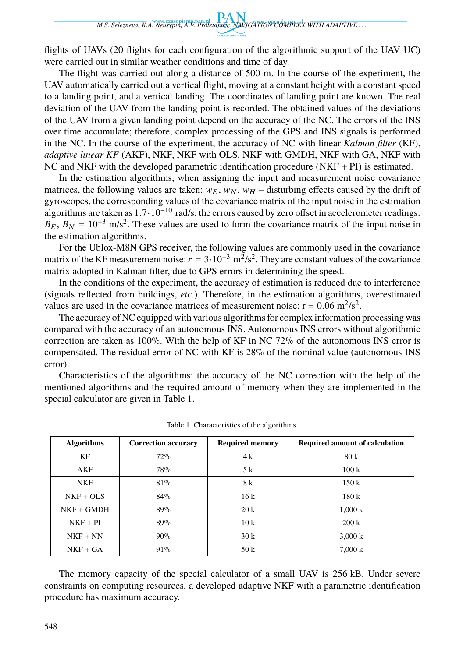flights of UAVs (20 flights for each configuration of the algorithmic support of the UAV UC) were carried out in similar weather conditions and time of day.

The flight was carried out along a distance of 500 m. In the course of the experiment, the UAV automatically carried out a vertical flight, moving at a constant height with a constant speed to a landing point, and a vertical landing. The coordinates of landing point are known. The real deviation of the UAV from the landing point is recorded. The obtained values of the deviations of the UAV from a given landing point depend on the accuracy of the NC. The errors of the INS over time accumulate; therefore, complex processing of the GPS and INS signals is performed in the NC. In the course of the experiment, the accuracy of NC with linear *Kalman filter* (KF), *adaptive linear KF* (AKF), NKF, NKF with OLS, NKF with GMDH, NKF with GA, NKF with NC and NKF with the developed parametric identification procedure (NKF + PI) is estimated.

In the estimation algorithms, when assigning the input and measurement noise covariance matrices, the following values are taken:  $w_E$ ,  $w_N$ ,  $w_H$  – disturbing effects caused by the drift of gyroscopes, the corresponding values of the covariance matrix of the input noise in the estimation algorithms are taken as  $1.7 \cdot 10^{-10}$  rad/s; the errors caused by zero offset in accelerometer readings:  $B_E$ ,  $B_N = 10^{-3}$  m/s<sup>2</sup>. These values are used to form the covariance matrix of the input noise in the estimation algorithms.

For the Ublox-M8N GPS receiver, the following values are commonly used in the covariance matrix of the KF measurement noise:  $r = 3 \cdot 10^{-3} \text{ m}^2/\text{s}^2$ . They are constant values of the covariance matrix adopted in Kalman filter, due to GPS errors in determining the speed.

In the conditions of the experiment, the accuracy of estimation is reduced due to interference (signals reflected from buildings, *etc*.). Therefore, in the estimation algorithms, overestimated values are used in the covariance matrices of measurement noise:  $r = 0.06$  m<sup>2</sup>/s<sup>2</sup>.

The accuracy of NC equipped with various algorithms for complex information processing was compared with the accuracy of an autonomous INS. Autonomous INS errors without algorithmic correction are taken as 100%. With the help of KF in NC 72% of the autonomous INS error is compensated. The residual error of NC with KF is 28% of the nominal value (autonomous INS error).

Characteristics of the algorithms: the accuracy of the NC correction with the help of the mentioned algorithms and the required amount of memory when they are implemented in the special calculator are given in Table 1.

| <b>Algorithms</b> | <b>Correction accuracy</b> | <b>Required memory</b> | <b>Required amount of calculation</b> |  |  |
|-------------------|----------------------------|------------------------|---------------------------------------|--|--|
| KF                | 72%                        | 4 k                    | 80k                                   |  |  |
| AKF               | 78%                        | 5 k                    | 100k                                  |  |  |
| <b>NKF</b>        | 81%                        | 8 k                    | 150k                                  |  |  |
| $NKF + OLS$       | 84%                        | 16k                    | 180k                                  |  |  |
| $NKF + GMDH$      | 89%                        | 20k                    | 1,000 k                               |  |  |
| $NKF + PI$        | 89%                        | 10k                    | 200 k                                 |  |  |
| $NKF + NN$        | $90\%$                     | 30k                    | $3,000 \text{ k}$                     |  |  |
| $NKF + GA$        | $91\%$                     | 50k                    | $7,000 \text{ k}$                     |  |  |

Table 1. Characteristics of the algorithms.

The memory capacity of the special calculator of a small UAV is 256 kB. Under severe constraints on computing resources, a developed adaptive NKF with a parametric identification procedure has maximum accuracy.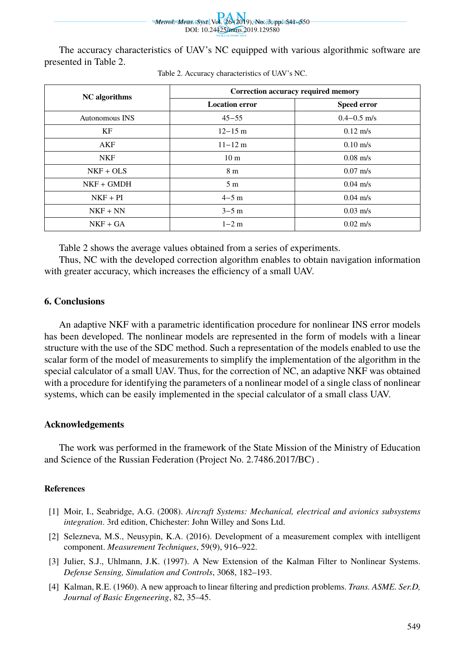*Metrol. Meas. Syst.,*Vol. 26 (2019), No. 3, pp. 541–550 DOI: 10.24425/mms.2019.129580

The accuracy characteristics of UAV's NC equipped with various algorithmic software are presented in Table 2.

| <b>NC</b> algorithms | Correction accuracy required memory |                    |  |  |
|----------------------|-------------------------------------|--------------------|--|--|
|                      | <b>Location error</b>               | <b>Speed error</b> |  |  |
| Autonomous INS       | $45 - 55$                           | $0.4 - 0.5$ m/s    |  |  |
| KF                   | $12 - 15$ m                         | $0.12 \text{ m/s}$ |  |  |
| AKF                  | $11 - 12$ m                         | $0.10 \text{ m/s}$ |  |  |
| <b>NKF</b>           | 10 <sub>m</sub>                     | $0.08$ m/s         |  |  |
| $NKF + OLS$          | 8 <sub>m</sub>                      | $0.07 \text{ m/s}$ |  |  |
| $NKF + GMDH$         | 5 <sub>m</sub>                      | $0.04 \text{ m/s}$ |  |  |
| $NKF + PI$           | $4-5$ m                             | $0.04 \text{ m/s}$ |  |  |
| $NKF + NN$           | $3-5$ m                             | $0.03$ m/s         |  |  |
| $NKF + GA$           | $1-2$ m                             | $0.02 \text{ m/s}$ |  |  |

|  | Table 2. Accuracy characteristics of UAV's NC. |  |  |
|--|------------------------------------------------|--|--|
|  |                                                |  |  |

Table 2 shows the average values obtained from a series of experiments.

Thus, NC with the developed correction algorithm enables to obtain navigation information with greater accuracy, which increases the efficiency of a small UAV.

## **6. Conclusions**

An adaptive NKF with a parametric identification procedure for nonlinear INS error models has been developed. The nonlinear models are represented in the form of models with a linear structure with the use of the SDC method. Such a representation of the models enabled to use the scalar form of the model of measurements to simplify the implementation of the algorithm in the special calculator of a small UAV. Thus, for the correction of NC, an adaptive NKF was obtained with a procedure for identifying the parameters of a nonlinear model of a single class of nonlinear systems, which can be easily implemented in the special calculator of a small class UAV.

## **Acknowledgements**

The work was performed in the framework of the State Mission of the Ministry of Education and Science of the Russian Federation (Project No. 2.7486.2017/BC) .

### **References**

- [1] Moir, I., Seabridge, A.G. (2008). *Aircraft Systems: Mechanical, electrical and avionics subsystems integration*. 3rd edition, Chichester: John Willey and Sons Ltd.
- [2] Selezneva, M.S., Neusypin, K.A. (2016). Development of a measurement complex with intelligent component. *Measurement Techniques*, 59(9), 916–922.
- [3] Julier, S.J., Uhlmann, J.K. (1997). A New Extension of the Kalman Filter to Nonlinear Systems. *Defense Sensing, Simulation and Controls*, 3068, 182–193.
- [4] Kalman, R.E. (1960). A new approach to linear filtering and prediction problems. *Trans. ASME. Ser.D, Journal of Basic Engeneering*, 82, 35–45.